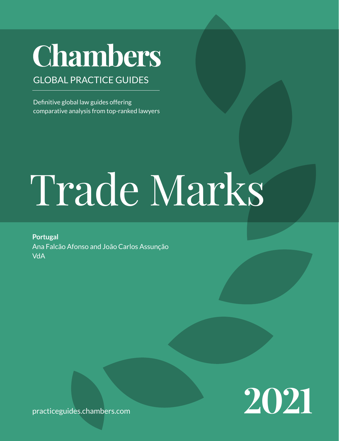# **Chambers**

# GLOBAL PRACTICE GUIDES

Definitive global law guides offering comparative analysis from top-ranked lawyers

# Trade Marks

**Portugal** Ana Falcão Afonso and João Carlos Assunção VdA



practiceguides[.chambers.com](http://chambers.com)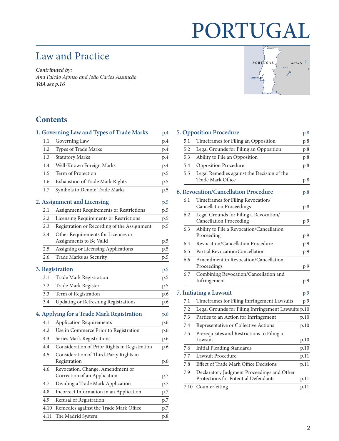# PORTUGAL

# Law and Practice

*Contributed by: Ana Falcão Afonso and João Carlos Assunção VdA [see p.16](#page-15-0)*



# **Contents**

| p.4                                                  |
|------------------------------------------------------|
| p.4                                                  |
| p.4                                                  |
| p.4                                                  |
| p.5                                                  |
| p.5                                                  |
| p.5                                                  |
| p.5                                                  |
| p.5                                                  |
| p.5                                                  |
| Registration or Recording of the Assignment<br>p.5   |
|                                                      |
| p.5                                                  |
| p.5                                                  |
| p.5                                                  |
| p.5                                                  |
| p.5                                                  |
| p.5                                                  |
| p.6                                                  |
| p.6                                                  |
| p.6                                                  |
| p.6                                                  |
| p.6                                                  |
| p.6                                                  |
| Consideration of Prior Rights in Registration<br>p.6 |
| p.6                                                  |
| p.7                                                  |
| p.7                                                  |
| p.7                                                  |
| p.7                                                  |
| p.7                                                  |
| p.8                                                  |
|                                                      |

|                                |      | <b>5. Opposition Procedure</b>                                                     | p.8  |  |  |
|--------------------------------|------|------------------------------------------------------------------------------------|------|--|--|
|                                | 5.1  | Timeframes for Filing an Opposition                                                | p.8  |  |  |
|                                | 5.2  | Legal Grounds for Filing an Opposition                                             | p.8  |  |  |
|                                | 5.3  | Ability to File an Opposition                                                      | p.8  |  |  |
|                                | 5.4  | <b>Opposition Procedure</b>                                                        | p.8  |  |  |
|                                | 5.5  | Legal Remedies against the Decision of the<br>Trade Mark Office                    | p.8  |  |  |
|                                |      | 6. Revocation/Cancellation Procedure                                               | p.8  |  |  |
|                                | 6.1  | Timeframes for Filing Revocation/<br><b>Cancellation Proceedings</b>               | p.8  |  |  |
|                                | 6.2  | Legal Grounds for Filing a Revocation/<br><b>Cancellation Proceeding</b>           | p.9  |  |  |
|                                | 6.3  | Ability to File a Revocation/Cancellation<br>Proceeding                            | p.9  |  |  |
|                                | 6.4  | Revocation/Cancellation Procedure                                                  | p.9  |  |  |
|                                | 6.5  | Partial Revocation/Cancellation                                                    | p.9  |  |  |
|                                | 6.6  | Amendment in Revocation/Cancellation<br>Proceedings                                | p.9  |  |  |
|                                | 6.7  | Combining Revocation/Cancellation and<br>Infringement                              | p.9  |  |  |
| <b>7. Initiating a Lawsuit</b> |      |                                                                                    |      |  |  |
|                                | 7.1  | Timeframes for Filing Infringement Lawsuits                                        | p.9  |  |  |
|                                | 7.2  | Legal Grounds for Filing Infringement Lawsuits p.10                                |      |  |  |
|                                | 7.3  | Parties to an Action for Infringement                                              | p.10 |  |  |
|                                | 7.4  | Representative or Collective Actions                                               | p.10 |  |  |
|                                | 7.5  | Prerequisites and Restrictions to Filing a<br>Lawsuit                              | p.10 |  |  |
|                                | 7.6  | <b>Initial Pleading Standards</b>                                                  | p.10 |  |  |
|                                | 7.7  | Lawsuit Procedure                                                                  | p.11 |  |  |
|                                | 7.8  | Effect of Trade Mark Office Decisions                                              | p.11 |  |  |
|                                | 7.9  | Declaratory Judgment Proceedings and Other<br>Protections for Potential Defendants | p.11 |  |  |
|                                | 7.10 | Counterfeiting                                                                     | p.11 |  |  |
|                                |      |                                                                                    |      |  |  |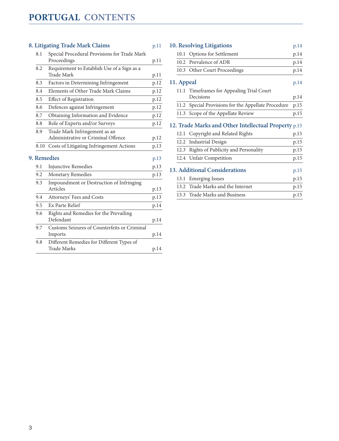#### **[8. Litigating Trade Mark Claims](#page-10-0)** p.11

| 8.1         | Special Procedural Provisions for Trade Mark         |              |  |  |
|-------------|------------------------------------------------------|--------------|--|--|
|             | Proceedings                                          | p.11         |  |  |
| 8.2         | Requirement to Establish Use of a Sign as a          |              |  |  |
|             | Trade Mark                                           | p.11         |  |  |
| 8.3         | Factors in Determining Infringement                  | p.12         |  |  |
| 8.4         | Elements of Other Trade Mark Claims                  | p.12         |  |  |
| 8.5         | <b>Effect of Registration</b>                        | p.12         |  |  |
| 8.6         | Defences against Infringement                        | p.12         |  |  |
| 8.7         | Obtaining Information and Evidence                   | p.12         |  |  |
| 8.8         | Role of Experts and/or Surveys                       | p.12         |  |  |
| 8.9         | Trade Mark Infringement as an                        |              |  |  |
|             | Administrative or Criminal Offence                   | p.12         |  |  |
| 8.10        | Costs of Litigating Infringement Actions             | p.13         |  |  |
| 9. Remedies |                                                      |              |  |  |
|             |                                                      |              |  |  |
| 9.1         | <b>Injunctive Remedies</b>                           | p.13<br>p.13 |  |  |
| 9.2         | <b>Monetary Remedies</b>                             | p.13         |  |  |
| 9.3         |                                                      |              |  |  |
|             | Impoundment or Destruction of Infringing<br>Articles | p.13         |  |  |
| 9.4         | Attorneys' Fees and Costs                            | p.13         |  |  |
| 9.5         | Ex Parte Relief                                      | p.14         |  |  |
| 9.6         | Rights and Remedies for the Prevailing               |              |  |  |
|             | Defendant                                            | p.14         |  |  |
| 9.7         | Customs Seizures of Counterfeits or Criminal         |              |  |  |
|             | Imports                                              | p.14         |  |  |
| 9.8         | Different Remedies for Different Types of            |              |  |  |
|             | <b>Trade Marks</b>                                   | p.14         |  |  |

| 10. Resolving Litigations                            |                                                     | p.14 |  |  |
|------------------------------------------------------|-----------------------------------------------------|------|--|--|
|                                                      | 10.1 Options for Settlement                         | p.14 |  |  |
|                                                      | 10.2 Prevalence of ADR                              | p.14 |  |  |
|                                                      | 10.3 Other Court Proceedings                        | p.14 |  |  |
| 11. Appeal                                           |                                                     |      |  |  |
| 11.1                                                 | Timeframes for Appealing Trial Court                |      |  |  |
|                                                      | Decisions                                           | p.14 |  |  |
|                                                      | 11.2 Special Provisions for the Appellate Procedure | p.15 |  |  |
|                                                      | 11.3 Scope of the Appellate Review                  | p.15 |  |  |
| 12. Trade Marks and Other Intellectual Property p.15 |                                                     |      |  |  |
| 12.1                                                 | Copyright and Related Rights                        | p.15 |  |  |
| 12.2                                                 | <b>Industrial Design</b>                            | p.15 |  |  |
|                                                      | 12.3 Rights of Publicity and Personality            | p.15 |  |  |
|                                                      | 12.4 Unfair Competition                             | p.15 |  |  |
| 13. Additional Considerations<br>p.15                |                                                     |      |  |  |
| 13.1                                                 | <b>Emerging Issues</b>                              | p.15 |  |  |
|                                                      | 13.2 Trade Marks and the Internet                   | p.15 |  |  |
|                                                      | 13.3 Trade Marks and Business                       | p.15 |  |  |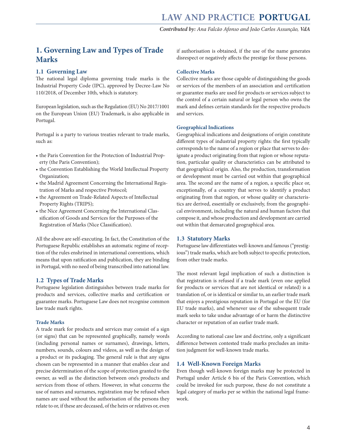## <span id="page-3-0"></span>**1. Governing Law and Types of Trade Marks**

#### **1.1 Governing Law**

The national legal diploma governing trade marks is the Industrial Property Code (IPC), approved by Decree-Law No 110/2018, of December 10th, which is statutory.

European legislation, such as the Regulation (EU) No 2017/1001 on the European Union (EU) Trademark, is also applicable in Portugal.

Portugal is a party to various treaties relevant to trade marks, such as:

- the Paris Convention for the Protection of Industrial Property (the Paris Convention);
- the Convention Establishing the World Intellectual Property Organization;
- the Madrid Agreement Concerning the International Registration of Marks and respective Protocol;
- the Agreement on Trade-Related Aspects of Intellectual Property Rights (TRIPS);
- the Nice Agreement Concerning the International Classification of Goods and Services for the Purposes of the Registration of Marks (Nice Classification).

All the above are self-executing. In fact, the Constitution of the Portuguese Republic establishes an automatic regime of reception of the rules enshrined in international conventions, which means that upon ratification and publication, they are binding in Portugal, with no need of being transcribed into national law.

#### **1.2 Types of Trade Marks**

Portuguese legislation distinguishes between trade marks for products and services, collective marks and certification or guarantee marks. Portuguese Law does not recognise common law trade mark rights.

#### **Trade Marks**

A trade mark for products and services may consist of a sign (or signs) that can be represented graphically, namely words (including personal names or surnames), drawings, letters, numbers, sounds, colours and videos, as well as the design of a product or its packaging. The general rule is that any signs chosen can be represented in a manner that enables clear and precise determination of the scope of protection granted to the owner, as well as the distinction between one's products and services from those of others. However, in what concerns the use of names and surnames, registration may be refused when names are used without the authorisation of the persons they relate to or, if these are deceased, of the heirs or relatives or, even

if authorisation is obtained, if the use of the name generates disrespect or negatively affects the prestige for those persons.

#### **Collective Marks**

Collective marks are those capable of distinguishing the goods or services of the members of an association and certification or guarantee marks are used for products or services subject to the control of a certain natural or legal person who owns the mark and defines certain standards for the respective products and services.

#### **Geographical Indications**

Geographical indications and designations of origin constitute different types of industrial property rights: the first typically corresponds to the name of a region or place that serves to designate a product originating from that region or whose reputation, particular quality or characteristics can be attributed to that geographical origin. Also, the production, transformation or development must be carried out within that geographical area. The second are the name of a region, a specific place or, exceptionally, of a country that serves to identify a product originating from that region, or whose quality or characteristics are derived, essentially or exclusively, from the geographical environment, including the natural and human factors that compose it, and whose production and development are carried out within that demarcated geographical area.

#### **1.3 Statutory Marks**

Portuguese law differentiates well-known and famous ("prestigious") trade marks, which are both subject to specific protection, from other trade marks.

The most relevant legal implication of such a distinction is that registration is refused if a trade mark (even one applied for products or services that are not identical or related) is a translation of, or is identical or similar to, an earlier trade mark that enjoys a prestigious reputation in Portugal or the EU (for EU trade marks), and whenever use of the subsequent trade mark seeks to take undue advantage of or harm the distinctive character or reputation of an earlier trade mark.

According to national case law and doctrine, only a significant difference between contested trade marks precludes an imitation judgment for well-known trade marks.

#### **1.4 Well-Known Foreign Marks**

Even though well-known foreign marks may be protected in Portugal under Article 6 bis of the Paris Convention, which could be invoked for such purpose, these do not constitute a legal category of marks per se within the national legal framework.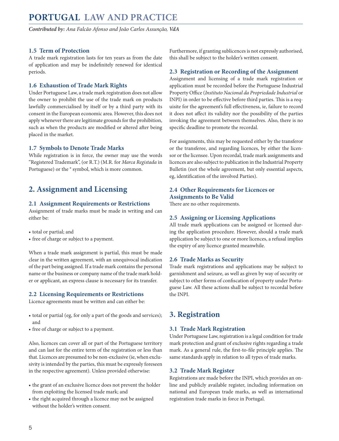<span id="page-4-0"></span>*Contributed by: Ana Falcão Afonso and João Carlos Assunção, VdA* 

#### **1.5 Term of Protection**

A trade mark registration lasts for ten years as from the date of application and may be indefinitely renewed for identical periods.

#### **1.6 Exhaustion of Trade Mark Rights**

Under Portuguese Law, a trade mark registration does not allow the owner to prohibit the use of the trade mark on products lawfully commercialised by itself or by a third party with its consent in the European economic area. However, this does not apply whenever there are legitimate grounds for the prohibition, such as when the products are modified or altered after being placed in the market.

#### **1.7 Symbols to Denote Trade Marks**

While registration is in force, the owner may use the words "Registered Trademark", (or R.T.) (M.R. for *Marca Registada* in Portuguese) or the  $\degree$  symbol, which is more common.

### **2. Assignment and Licensing**

#### **2.1 Assignment Requirements or Restrictions**

Assignment of trade marks must be made in writing and can either be:

• total or partial; and

• free of charge or subject to a payment.

When a trade mark assignment is partial, this must be made clear in the written agreement, with an unequivocal indication of the part being assigned. If a trade mark contains the personal name or the business or company name of the trade mark holder or applicant, an express clause is necessary for its transfer.

#### **2.2 Licensing Requirements or Restrictions**

Licence agreements must be written and can either be:

- total or partial (eg, for only a part of the goods and services); and
- free of charge or subject to a payment.

Also, licences can cover all or part of the Portuguese territory and can last for the entire term of the registration or less than that. Licences are presumed to be non-exclusive (ie, when exclusivity is intended by the parties, this must be expressly foreseen in the respective agreement). Unless provided otherwise:

- the grant of an exclusive licence does not prevent the holder from exploiting the licensed trade mark; and
- the right acquired through a licence may not be assigned without the holder's written consent.

Furthermore, if granting sublicences is not expressly authorised, this shall be subject to the holder's written consent.

#### **2.3 Registration or Recording of the Assignment**

Assignment and licensing of a trade mark registration or application must be recorded before the Portuguese Industrial Property Office (*Instituto Nacional da Propriedade Industrial* or INPI) in order to be effective before third parties. This is a requisite for the agreement's full effectiveness, ie, failure to record it does not affect its validity nor the possibility of the parties invoking the agreement between themselves. Also, there is no specific deadline to promote the recordal.

For assignments, this may be requested either by the transferor or the transferee, and regarding licences, by either the licensor or the licensee. Upon recordal, trade mark assignments and licences are also subject to publication in the Industrial Property Bulletin (not the whole agreement, but only essential aspects, eg, identification of the involved Parties).

#### **2.4 Other Requirements for Licences or Assignments to Be Valid**

There are no other requirements.

#### **2.5 Assigning or Licensing Applications**

All trade mark applications can be assigned or licensed during the application procedure. However, should a trade mark application be subject to one or more licences, a refusal implies the expiry of any licence granted meanwhile.

#### **2.6 Trade Marks as Security**

Trade mark registrations and applications may be subject to garnishment and seizure, as well as given by way of security or subject to other forms of confiscation of property under Portuguese Law. All these actions shall be subject to recordal before the INPI.

#### **3. Registration**

#### **3.1 Trade Mark Registration**

Under Portuguese Law, registration is a legal condition for trade mark protection and grant of exclusive rights regarding a trade mark. As a general rule, the first-to-file principle applies. The same standards apply in relation to all types of trade marks.

#### **3.2 Trade Mark Register**

Registrations are made before the INPI, which provides an online and publicly available register, including information on national and European trade marks, as well as international registration trade marks in force in Portugal.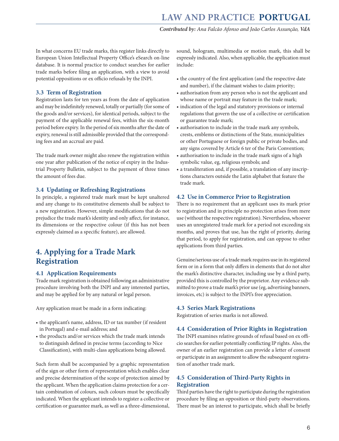<span id="page-5-0"></span>In what concerns EU trade marks, this register links directly to European Union Intellectual Property Office's eSearch on-line database. It is normal practice to conduct searches for earlier trade marks before filing an application, with a view to avoid potential oppositions or ex officio refusals by the INPI.

#### **3.3 Term of Registration**

Registration lasts for ten years as from the date of application and may be indefinitely renewed, totally or partially (for some of the goods and/or services), for identical periods, subject to the payment of the applicable renewal fees, within the six-month period before expiry. In the period of six months after the date of expiry, renewal is still admissible provided that the corresponding fees and an accrual are paid.

The trade mark owner might also renew the registration within one year after publication of the notice of expiry in the Industrial Property Bulletin, subject to the payment of three times the amount of fees due.

#### **3.4 Updating or Refreshing Registrations**

In principle, a registered trade mark must be kept unaltered and any change to its constitutive elements shall be subject to a new registration. However, simple modifications that do not prejudice the trade mark's identity and only affect, for instance, its dimensions or the respective colour (if this has not been expressly claimed as a specific feature), are allowed.

## **4. Applying for a Trade Mark Registration**

#### **4.1 Application Requirements**

Trade mark registration is obtained following an administrative procedure involving both the INPI and any interested parties, and may be applied for by any natural or legal person.

Any application must be made in a form indicating:

- the applicant's name, address, ID or tax number (if resident in Portugal) and e-mail address; and
- the products and/or services which the trade mark intends to distinguish defined in precise terms (according to Nice Classification), with multi-class applications being allowed.

Such form shall be accompanied by a graphic representation of the sign or other form of representation which enables clear and precise determination of the scope of protection aimed by the applicant. When the application claims protection for a certain combination of colours, such colours must be specifically indicated. When the applicant intends to register a collective or certification or guarantee mark, as well as a three-dimensional,

sound, hologram, multimedia or motion mark, this shall be expressly indicated. Also, when applicable, the application must include:

- the country of the first application (and the respective date and number), if the claimant wishes to claim priority;
- authorisation from any person who is not the applicant and whose name or portrait may feature in the trade mark;
- indication of the legal and statutory provisions or internal regulations that govern the use of a collective or certification or guarantee trade mark;
- authorisation to include in the trade mark any symbols, crests, emblems or distinctions of the State, municipalities or other Portuguese or foreign public or private bodies, and any signs covered by Article 6 ter of the Paris Convention;
- authorisation to include in the trade mark signs of a high symbolic value, eg, religious symbols; and
- a transliteration and, if possible, a translation of any inscriptions characters outside the Latin alphabet that feature the trade mark.

#### **4.2 Use in Commerce Prior to Registration**

There is no requirement that an applicant uses its mark prior to registration and in principle no protection arises from mere use (without the respective registration). Nevertheless, whoever uses an unregistered trade mark for a period not exceeding six months, and proves that use, has the right of priority, during that period, to apply for registration, and can oppose to other applications from third parties.

Genuine/serious use of a trade mark requires use in its registered form or in a form that only differs in elements that do not alter the mark's distinctive character, including use by a third party, provided this is controlled by the proprietor. Any evidence submitted to prove a trade mark's prior use (eg, advertising banners, invoices, etc) is subject to the INPI's free appreciation.

#### **4.3 Series Mark Registrations**

Registration of series marks is not allowed.

#### **4.4 Consideration of Prior Rights in Registration**

The INPI examines relative grounds of refusal based on ex officio searches for earlier potentially conflicting IP rights. Also, the owner of an earlier registration can provide a letter of consent or participate in an assignment to allow the subsequent registration of another trade mark.

#### **4.5 Consideration of Third-Party Rights in Registration**

Third parties have the right to participate during the registration procedure by filing an opposition or third-party observations. There must be an interest to participate, which shall be briefly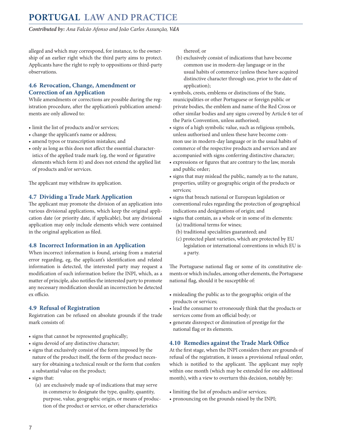<span id="page-6-0"></span>*Contributed by: Ana Falcão Afonso and João Carlos Assunção, VdA* 

alleged and which may correspond, for instance, to the ownership of an earlier right which the third party aims to protect. Applicants have the right to reply to oppositions or third-party observations.

#### **4.6 Revocation, Change, Amendment or Correction of an Application**

While amendments or corrections are possible during the registration procedure, after the application's publication amendments are only allowed to:

- limit the list of products and/or services;
- change the applicant's name or address;
- amend typos or transcription mistakes; and
- only as long as this does not affect the essential characteristics of the applied trade mark (eg, the word or figurative elements which form it) and does not extend the applied list of products and/or services.

The applicant may withdraw its application.

#### **4.7 Dividing a Trade Mark Application**

The applicant may promote the division of an application into various divisional applications, which keep the original application date (or priority date, if applicable), but any divisional application may only include elements which were contained in the original application as filed.

#### **4.8 Incorrect Information in an Application**

When incorrect information is found, arising from a material error regarding, eg, the applicant's identification and related information is detected, the interested party may request a modification of such information before the INPI, which, as a matter of principle, also notifies the interested party to promote any necessary modification should an incorrection be detected ex officio.

#### **4.9 Refusal of Registration**

Registration can be refused on absolute grounds if the trade mark consists of:

- signs that cannot be represented graphically;
- signs devoid of any distinctive character;
- signs that exclusively consist of the form imposed by the nature of the product itself, the form of the product necessary for obtaining a technical result or the form that confers a substantial value on the product;
- signs that:
	- (a) are exclusively made up of indications that may serve in commerce to designate the type, quality, quantity, purpose, value, geographic origin, or means of production of the product or service, or other characteristics

thereof; or

- (b) exclusively consist of indications that have become common use in modern-day language or in the usual habits of commerce (unless these have acquired distinctive character through use, prior to the date of application);
- symbols, crests, emblems or distinctions of the State, municipalities or other Portuguese or foreign public or private bodies, the emblem and name of the Red Cross or other similar bodies and any signs covered by Article 6 ter of the Paris Convention, unless authorised;
- signs of a high symbolic value, such as religious symbols, unless authorised and unless these have become common use in modern-day language or in the usual habits of commerce of the respective products and services and are accompanied with signs conferring distinctive character;
- expressions or figures that are contrary to the law, morals and public order;
- signs that may mislead the public, namely as to the nature, properties, utility or geographic origin of the products or services;
- signs that breach national or European legislation or conventional rules regarding the protection of geographical indications and designations of origin; and
- signs that contain, as a whole or in some of its elements: (a) traditional terms for wines;
	- (b) traditional specialities guaranteed; and
	- (c) protected plant varieties, which are protected by EU legislation or international conventions in which EU is a party.

The Portuguese national flag or some of its constitutive elements or which includes, among other elements, the Portuguese national flag, should it be susceptible of:

- misleading the public as to the geographic origin of the products or services;
- lead the consumer to erroneously think that the products or services come from an official body; or
- generate disrespect or diminution of prestige for the national flag or its elements.

#### **4.10 Remedies against the Trade Mark Office**

At the first stage, when the INPI considers there are grounds of refusal of the registration, it issues a provisional refusal order, which is notified to the applicant. The applicant may reply within one month (which may be extended for one additional month), with a view to overturn this decision, notably by:

- limiting the list of products and/or services;
- pronouncing on the grounds raised by the INPI;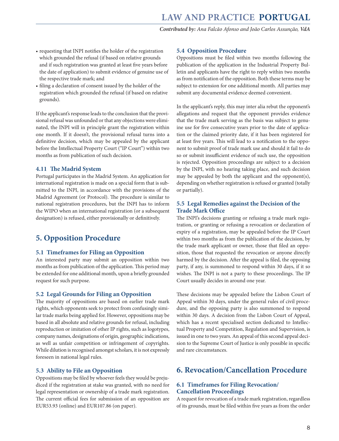- <span id="page-7-0"></span>• requesting that INPI notifies the holder of the registration which grounded the refusal (if based on relative grounds and if such registration was granted at least five years before the date of application) to submit evidence of genuine use of the respective trade mark; and
- filing a declaration of consent issued by the holder of the registration which grounded the refusal (if based on relative grounds).

If the applicant's response leads to the conclusion that the provisional refusal was unfounded or that any objections were eliminated, the INPI will in principle grant the registration within one month. If it doesn't, the provisional refusal turns into a definitive decision, which may be appealed by the applicant before the Intellectual Property Court ("IP Court") within two months as from publication of such decision.

#### **4.11 The Madrid System**

Portugal participates in the Madrid System. An application for international registration is made on a special form that is submitted to the INPI, in accordance with the provisions of the Madrid Agreement (or Protocol). The procedure is similar to national registration procedures, but the INPI has to inform the WIPO when an international registration (or a subsequent designation) is refused, either provisionally or definitively.

#### **5. Opposition Procedure**

#### **5.1 Timeframes for Filing an Opposition**

An interested party may submit an opposition within two months as from publication of the application. This period may be extended for one additional month, upon a briefly grounded request for such purpose.

#### **5.2 Legal Grounds for Filing an Opposition**

The majority of oppositions are based on earlier trade mark rights, which opponents seek to protect from confusingly similar trade marks being applied for. However, oppositions may be based in all absolute and relative grounds for refusal, including reproduction or imitation of other IP rights, such as logotypes, company names, designations of origin, geographic indications, as well as unfair competition or infringement of copyrights. While dilution is recognised amongst scholars, it is not expressly foreseen in national legal rules.

#### **5.3 Ability to File an Opposition**

Oppositions may be filed by whoever feels they would be prejudiced if the registration at stake was granted, with no need for legal representation or ownership of a trade mark registration. The current official fees for submission of an opposition are EUR53.93 (online) and EUR107.86 (on paper).

#### **5.4 Opposition Procedure**

Oppositions must be filed within two months following the publication of the application in the Industrial Property Bulletin and applicants have the right to reply within two months as from notification of the opposition. Both these terms may be subject to extension for one additional month. All parties may submit any documental evidence deemed convenient.

In the applicant's reply, this may inter alia rebut the opponent's allegations and request that the opponent provides evidence that the trade mark serving as the basis was subject to genuine use for five consecutive years prior to the date of application or the claimed priority date, if it has been registered for at least five years. This will lead to a notification to the opponent to submit proof of trade mark use and should it fail to do so or submit insufficient evidence of such use, the opposition is rejected. Opposition proceedings are subject to a decision by the INPI, with no hearing taking place, and such decision may be appealed by both the applicant and the opponent(s), depending on whether registration is refused or granted (totally or partially).

#### **5.5 Legal Remedies against the Decision of the Trade Mark Office**

The INPI's decisions granting or refusing a trade mark registration, or granting or refusing a revocation or declaration of expiry of a registration, may be appealed before the IP Court within two months as from the publication of the decision, by the trade mark applicant or owner, those that filed an opposition, those that requested the revocation or anyone directly harmed by the decision. After the appeal is filed, the opposing party, if any, is summoned to respond within 30 days, if it so wishes. The INPI is not a party to these proceedings. The IP Court usually decides in around one year.

These decisions may be appealed before the Lisbon Court of Appeal within 30 days, under the general rules of civil procedure, and the opposing party is also summoned to respond within 30 days. A decision from the Lisbon Court of Appeal, which has a recent specialised section dedicated to Intellectual Property and Competition, Regulation and Supervision, is issued in one to two years. An appeal of this second appeal decision to the Supreme Court of Justice is only possible in specific and rare circumstances.

#### **6. Revocation/Cancellation Procedure**

#### **6.1 Timeframes for Filing Revocation/ Cancellation Proceedings**

A request for revocation of a trade mark registration, regardless of its grounds, must be filed within five years as from the order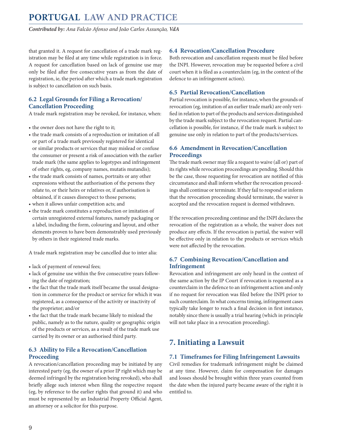<span id="page-8-0"></span>*Contributed by: Ana Falcão Afonso and João Carlos Assunção, VdA* 

that granted it. A request for cancellation of a trade mark registration may be filed at any time while registration is in force. A request for cancellation based on lack of genuine use may only be filed after five consecutive years as from the date of registration, ie, the period after which a trade mark registration is subject to cancellation on such basis.

#### **6.2 Legal Grounds for Filing a Revocation/ Cancellation Proceeding**

A trade mark registration may be revoked, for instance, when:

- the owner does not have the right to it;
- the trade mark consists of a reproduction or imitation of all or part of a trade mark previously registered for identical or similar products or services that may mislead or confuse the consumer or present a risk of association with the earlier trade mark (the same applies to logotypes and infringement of other rights, eg, company names, mutatis mutandis);
- the trade mark consists of names, portraits or any other expressions without the authorisation of the persons they relate to, or their heirs or relatives or, if authorisation is obtained, if it causes disrespect to those persons;
- when it allows unfair competition acts; and
- the trade mark constitutes a reproduction or imitation of certain unregistered external features, namely packaging or a label, including the form, colouring and layout, and other elements proven to have been demonstrably used previously by others in their registered trade marks.

A trade mark registration may be cancelled due to inter alia:

- lack of payment of renewal fees;
- lack of genuine use within the five consecutive years following the date of registration;
- the fact that the trade mark itself became the usual designation in commerce for the product or service for which it was registered, as a consequence of the activity or inactivity of the proprietor; and/or
- the fact that the trade mark became likely to mislead the public, namely as to the nature, quality or geographic origin of the products or services, as a result of the trade mark use carried by its owner or an authorised third party.

#### **6.3 Ability to File a Revocation/Cancellation Proceeding**

A revocation/cancellation proceeding may be initiated by any interested party (eg, the owner of a prior IP right which may be deemed infringed by the registration being revoked), who shall briefly allege such interest when filing the respective request (eg, by reference to the earlier rights that ground it) and who must be represented by an Industrial Property Official Agent, an attorney or a solicitor for this purpose.

#### **6.4 Revocation/Cancellation Procedure**

Both revocation and cancellation requests must be filed before the INPI. However, revocation may be requested before a civil court when it is filed as a counterclaim (eg, in the context of the defence to an infringement action).

#### **6.5 Partial Revocation/Cancellation**

Partial revocation is possible, for instance, when the grounds of revocation (eg, imitation of an earlier trade mark) are only verified in relation to part of the products and services distinguished by the trade mark subject to the revocation request. Partial cancellation is possible, for instance, if the trade mark is subject to genuine use only in relation to part of the products/services.

#### **6.6 Amendment in Revocation/Cancellation Proceedings**

The trade mark owner may file a request to waive (all or) part of its rights while revocation proceedings are pending. Should this be the case, those requesting for revocation are notified of this circumstance and shall inform whether the revocation proceedings shall continue or terminate. If they fail to respond or inform that the revocation proceeding should terminate, the waiver is accepted and the revocation request is deemed withdrawn.

If the revocation proceeding continue and the INPI declares the revocation of the registration as a whole, the waiver does not produce any effects. If the revocation is partial, the waiver will be effective only in relation to the products or services which were not affected by the revocation.

#### **6.7 Combining Revocation/Cancellation and Infringement**

Revocation and infringement are only heard in the context of the same action by the IP Court if revocation is requested as a counterclaim in the defence to an infringement action and only if no request for revocation was filed before the INPI prior to such counterclaim. In what concerns timing, infringement cases typically take longer to reach a final decision in first instance, notably since there is usually a trial hearing (which in principle will not take place in a revocation proceeding).

# **7. Initiating a Lawsuit**

#### **7.1 Timeframes for Filing Infringement Lawsuits**

Civil remedies for trademark infringement might be claimed at any time. However, claim for compensation for damages and losses should be brought within three years counted from the date when the injured party became aware of the right it is entitled to.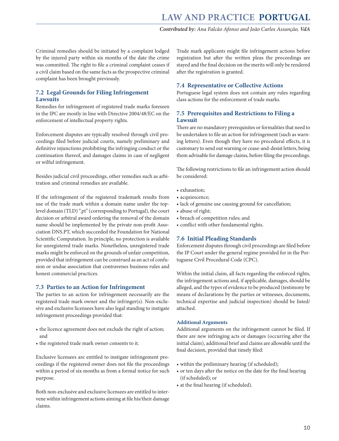<span id="page-9-0"></span>Criminal remedies should be initiated by a complaint lodged by the injured party within six months of the date the crime was committed. The right to file a criminal complaint ceases if a civil claim based on the same facts as the prospective criminal complaint has been brought previously.

#### **7.2 Legal Grounds for Filing Infringement Lawsuits**

Remedies for infringement of registered trade marks foreseen in the IPC are mostly in line with Directive 2004/48/EC on the enforcement of intellectual property rights.

Enforcement disputes are typically resolved through civil proceedings filed before judicial courts, namely preliminary and definitive injunctions prohibiting the infringing conduct or the continuation thereof, and damages claims in case of negligent or wilful infringement.

Besides judicial civil proceedings, other remedies such as arbitration and criminal remedies are available.

If the infringement of the registered trademark results from use of the trade mark within a domain name under the toplevel domain (TLD) ".pt" (corresponding to Portugal), the court decision or arbitral award ordering the removal of the domain name should be implemented by the private non-profit Association [DNS.PT](http://DNS.PT), which succeeded the Foundation for National Scientific Computation. In principle, no protection is available for unregistered trade marks. Nonetheless, unregistered trade marks might be enforced on the grounds of unfair competition, provided that infringement can be construed as an act of confusion or undue association that contravenes business rules and honest commercial practices.

#### **7.3 Parties to an Action for Infringement**

The parties to an action for infringement necessarily are the registered trade mark owner and the infringer(s). Non-exclusive and exclusive licensees have also legal standing to instigate infringement proceedings provided that:

- the licence agreement does not exclude the right of action; and
- the registered trade mark owner consents to it.

Exclusive licensees are entitled to instigate infringement proceedings if the registered owner does not file the proceedings within a period of six months as from a formal notice for such purpose.

Both non-exclusive and exclusive licensees are entitled to intervene within infringement actions aiming at file his/their damage claims.

Trade mark applicants might file infringement actions before registration but after the written pleas the proceedings are stayed and the final decision on the merits will only be rendered after the registration is granted.

#### **7.4 Representative or Collective Actions**

Portuguese legal system does not contain any rules regarding class actions for the enforcement of trade marks.

#### **7.5 Prerequisites and Restrictions to Filing a Lawsuit**

There are no mandatory prerequisites or formalities that need to be undertaken to file an action for infringement (such as warning letters). Even though they have no procedural effects, it is customary to send out warning or cease-and-desist letters, being them advisable for damage claims, before filing the proceedings.

The following restrictions to file an infringement action should be considered:

- exhaustion;
- acquiescence;
- lack of genuine use causing ground for cancellation;
- abuse of right;
- breach of competition rules; and
- conflict with other fundamental rights.

#### **7.6 Initial Pleading Standards**

Enforcement disputes through civil proceedings are filed before the IP Court under the general regime provided for in the Portuguese Civil Procedural Code (CPC).

Within the initial claim, all facts regarding the enforced rights, the infringement actions and, if applicable, damages, should be alleged, and the types of evidence to be produced (testimony by means of declarations by the parties or witnesses, documents, technical expertise and judicial inspection) should be listed/ attached.

#### **Additional Arguments**

Additional arguments on the infringement cannot be filed. If there are new infringing acts or damages (occurring after the initial claim), additional brief and claims are allowable until the final decision, provided that timely filed:

- within the preliminary hearing (if scheduled);
- or ten days after the notice on the date for the final hearing (if scheduled); or
- at the final hearing (if scheduled).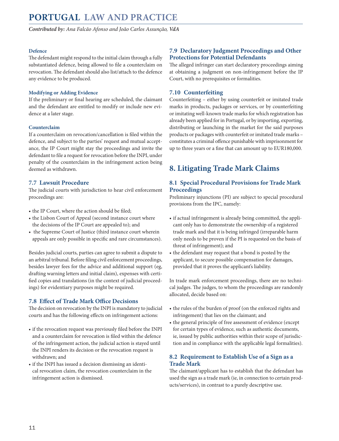<span id="page-10-0"></span>*Contributed by: Ana Falcão Afonso and João Carlos Assunção, VdA* 

#### **Defence**

The defendant might respond to the initial claim through a fully substantiated defence, being allowed to file a counterclaim on revocation. The defendant should also list/attach to the defence any evidence to be produced.

#### **Modifying or Adding Evidence**

If the preliminary or final hearing are scheduled, the claimant and the defendant are entitled to modify or include new evidence at a later stage.

#### **Counterclaim**

If a counterclaim on revocation/cancellation is filed within the defence, and subject to the parties' request and mutual acceptance, the IP Court might stay the proceedings and invite the defendant to file a request for revocation before the INPI, under penalty of the counterclaim in the infringement action being deemed as withdrawn.

#### **7.7 Lawsuit Procedure**

The judicial courts with jurisdiction to hear civil enforcement proceedings are:

- the IP Court, where the action should be filed;
- the Lisbon Court of Appeal (second instance court where the decisions of the IP Court are appealed to); and
- the Supreme Court of Justice (third instance court wherein appeals are only possible in specific and rare circumstances).

Besides judicial courts, parties can agree to submit a dispute to an arbitral tribunal. Before filing civil enforcement proceedings, besides lawyer fees for the advice and additional support (eg, drafting warning letters and initial claim), expenses with certified copies and translations (in the context of judicial proceedings) for evidentiary purposes might be required.

#### **7.8 Effect of Trade Mark Office Decisions**

The decision on revocation by the INPI is mandatory to judicial courts and has the following effects on infringement actions:

- if the revocation request was previously filed before the INPI and a counterclaim for revocation is filed within the defence of the infringement action, the judicial action is stayed until the INPI renders its decision or the revocation request is withdrawn; and
- if the INPI has issued a decision dismissing an identical revocation claim, the revocation counterclaim in the infringement action is dismissed.

#### **7.9 Declaratory Judgment Proceedings and Other Protections for Potential Defendants**

The alleged infringer can start declaratory proceedings aiming at obtaining a judgment on non-infringement before the IP Court, with no prerequisites or formalities.

#### **7.10 Counterfeiting**

Counterfeiting – either by using counterfeit or imitated trade marks in products, packages or services, or by counterfeiting or imitating well-known trade marks for which registration has already been applied for in Portugal, or by importing, exporting, distributing or launching in the market for the said purposes products or packages with counterfeit or imitated trade marks – constitutes a criminal offence punishable with imprisonment for up to three years or a fine that can amount up to EUR180,000.

# **8. Litigating Trade Mark Claims**

#### **8.1 Special Procedural Provisions for Trade Mark Proceedings**

Preliminary injunctions (PI) are subject to special procedural provisions from the IPC, namely:

- if actual infringement is already being committed, the applicant only has to demonstrate the ownership of a registered trade mark and that it is being infringed (irreparable harm only needs to be proven if the PI is requested on the basis of threat of infringement); and
- the defendant may request that a bond is posted by the applicant, to secure possible compensation for damages, provided that it proves the applicant's liability.

In trade mark enforcement proceedings, there are no technical judges. The judges, to whom the proceedings are randomly allocated, decide based on:

- the rules of the burden of proof (on the enforced rights and infringement) that lies on the claimant; and
- the general principle of free assessment of evidence (except for certain types of evidence, such as authentic documents, ie, issued by public authorities within their scope of jurisdiction and in compliance with the applicable legal formalities).

#### **8.2 Requirement to Establish Use of a Sign as a Trade Mark**

The claimant/applicant has to establish that the defendant has used the sign as a trade mark (ie, in connection to certain products/services), in contrast to a purely descriptive use.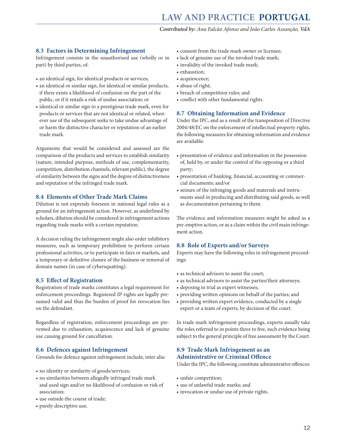#### <span id="page-11-0"></span>**8.3 Factors in Determining Infringement**

Infringement consists in the unauthorised use (wholly or in part) by third parties, of:

- an identical sign, for identical products or services;
- an identical or similar sign, for identical or similar products, if there exists a likelihood of confusion on the part of the public, or if it entails a risk of undue association; or
- identical or similar sign to a prestigious trade mark, even for products or services that are not identical or related, whenever use of the subsequent seeks to take undue advantage of or harm the distinctive character or reputation of an earlier trade mark.

Arguments that would be considered and assessed are the comparison of the products and services to establish similarity (nature, intended purpose, methods of use, complementarity, competition, distribution channels, relevant public), the degree of similarity between the signs and the degree of distinctiveness and reputation of the infringed trade mark.

#### **8.4 Elements of Other Trade Mark Claims**

Dilution is not expressly foreseen in national legal rules as a ground for an infringement action. However, as underlined by scholars, dilution should be considered in infringement actions regarding trade marks with a certain reputation.

A decision ruling the infringement might also order inhibitory measures, such as temporary prohibition to perform certain professional activities, or to participate in fairs or markets, and a temporary or definitive closure of the business or removal of domain names (in case of cybersquatting).

#### **8.5 Effect of Registration**

Registration of trade marks constitutes a legal requirement for enforcement proceedings. Registered IP rights are legally presumed valid and thus the burden of proof for revocation lies on the defendant.

Regardless of registration, enforcement proceedings are prevented due to exhaustion, acquiescence and lack of genuine use causing ground for cancellation.

#### **8.6 Defences against Infringement**

Grounds for defence against infringement include, inter alia:

- no identity or similarity of goods/services;
- no similarities between allegedly infringed trade mark and used sign and/or no likelihood of confusion or risk of association;
- use outside the course of trade;
- purely descriptive use;
- consent from the trade mark owner or licensee;
- lack of genuine use of the invoked trade mark;
- invalidity of the invoked trade mark;
- exhaustion;
- acquiescence;
- abuse of right;
- breach of competition rules; and
- conflict with other fundamental rights.

#### **8.7 Obtaining Information and Evidence**

Under the IPC, and as a result of the transposition of Directive 2004/48/EC on the enforcement of intellectual property rights, the following measures for obtaining information and evidence are available:

- presentation of evidence and information in the possession of, held by, or under the control of the opposing or a third party;
- presentation of banking, financial, accounting or commercial documents; and/or
- seizure of the infringing goods and materials and instruments used in producing and distributing said goods, as well as documentation pertaining to them.

The evidence and information measures might be asked as a pre-emptive action, or as a claim within the civil main infringement action.

#### **8.8 Role of Experts and/or Surveys**

Experts may have the following roles in infringement proceedings:

- as technical advisors to assist the court;
- as technical advisors to assist the parties/their attorneys;
- deposing in trial as expert witnesses;
- providing written opinions on behalf of the parties; and
- providing written expert evidence, conducted by a single expert or a team of experts, by decision of the court.

In trade mark infringement proceedings, experts usually take the roles referred to in points three to five, such evidence being subject to the general principle of free assessment by the Court.

#### **8.9 Trade Mark Infringement as an Administrative or Criminal Offence**

Under the IPC, the following constitute administrative offences:

- unfair competition;
- use of unlawful trade marks; and
- invocation or undue use of private rights.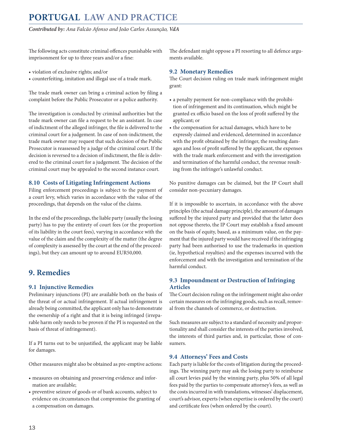<span id="page-12-0"></span>*Contributed by: Ana Falcão Afonso and João Carlos Assunção, VdA* 

The following acts constitute criminal offences punishable with imprisonment for up to three years and/or a fine:

- violation of exclusive rights; and/or
- counterfeiting, imitation and illegal use of a trade mark.

The trade mark owner can bring a criminal action by filing a complaint before the Public Prosecutor or a police authority.

The investigation is conducted by criminal authorities but the trade mark owner can file a request to be an assistant. In case of indictment of the alleged infringer, the file is delivered to the criminal court for a judgement. In case of non-indictment, the trade mark owner may request that such decision of the Public Prosecutor is reassessed by a judge of the criminal court. If the decision is reversed to a decision of indictment, the file is delivered to the criminal court for a judgement. The decision of the criminal court may be appealed to the second instance court.

#### **8.10 Costs of Litigating Infringement Actions**

Filing enforcement proceedings is subject to the payment of a court levy, which varies in accordance with the value of the proceedings, that depends on the value of the claims.

In the end of the proceedings, the liable party (usually the losing party) has to pay the entirety of court fees (or the proportion of its liability in the court fees), varying in accordance with the value of the claim and the complexity of the matter (the degree of complexity is assessed by the court at the end of the proceedings), but they can amount up to around EUR50,000.

# **9. Remedies**

#### **9.1 Injunctive Remedies**

Preliminary injunctions (PI) are available both on the basis of the threat of or actual infringement. If actual infringement is already being committed, the applicant only has to demonstrate the ownership of a right and that it is being infringed (irreparable harm only needs to be proven if the PI is requested on the basis of threat of infringement).

If a PI turns out to be unjustified, the applicant may be liable for damages.

Other measures might also be obtained as pre-emptive actions:

- measures on obtaining and preserving evidence and information are available;
- preventive seizure of goods or of bank accounts, subject to evidence on circumstances that compromise the granting of a compensation on damages.

The defendant might oppose a PI resorting to all defence arguments available.

#### **9.2 Monetary Remedies**

The Court decision ruling on trade mark infringement might grant:

- a penalty payment for non-compliance with the prohibition of infringement and its continuation, which might be granted ex officio based on the loss of profit suffered by the applicant; or
- the compensation for actual damages, which have to be expressly claimed and evidenced, determined in accordance with the profit obtained by the infringer, the resulting damages and loss of profit suffered by the applicant, the expenses with the trade mark enforcement and with the investigation and termination of the harmful conduct, the revenue resulting from the infringer's unlawful conduct.

No punitive damages can be claimed, but the IP Court shall consider non-pecuniary damages.

If it is impossible to ascertain, in accordance with the above principles (the actual damage principle), the amount of damages suffered by the injured party and provided that the latter does not oppose thereto, the IP Court may establish a fixed amount on the basis of equity, based, as a minimum value, on the payment that the injured party would have received if the infringing party had been authorised to use the trademarks in question (ie, hypothetical royalties) and the expenses incurred with the enforcement and with the investigation and termination of the harmful conduct.

#### **9.3 Impoundment or Destruction of Infringing Articles**

The Court decision ruling on the infringement might also order certain measures on the infringing goods, such as recall, removal from the channels of commerce, or destruction.

Such measures are subject to a standard of necessity and proportionality and shall consider the interests of the parties involved, the interests of third parties and, in particular, those of consumers.

#### **9.4 Attorneys' Fees and Costs**

Each party is liable for the costs of litigation during the proceedings. The winning party may ask the losing party to reimburse all court levies paid by the winning party, plus 50% of all legal fees paid by the parties to compensate attorney's fees, as well as the costs incurred in with translations, witnesses' displacement, court's advisor, experts (when expertise is ordered by the court) and certificate fees (when ordered by the court).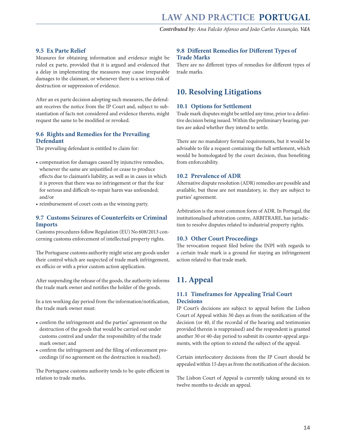#### <span id="page-13-0"></span>**9.5 Ex Parte Relief**

Measures for obtaining information and evidence might be ruled ex parte, provided that it is argued and evidenced that a delay in implementing the measures may cause irreparable damages to the claimant, or whenever there is a serious risk of destruction or suppression of evidence.

After an ex parte decision adopting such measures, the defendant receives the notice from the IP Court and, subject to substantiation of facts not considered and evidence thereto, might request the same to be modified or revoked.

#### **9.6 Rights and Remedies for the Prevailing Defendant**

The prevailing defendant is entitled to claim for:

- compensation for damages caused by injunctive remedies, whenever the same are unjustified or cease to produce effects due to claimant's liability, as well as in cases in which it is proven that there was no infringement or that the fear for serious and difficult-to-repair harm was unfounded; and/or
- reimbursement of court costs as the winning party.

#### **9.7 Customs Seizures of Counterfeits or Criminal Imports**

Customs procedures follow Regulation (EU) No 608/2013 concerning customs enforcement of intellectual property rights.

The Portuguese customs authority might seize any goods under their control which are suspected of trade mark infringement, ex officio or with a prior custom action application.

After suspending the release of the goods, the authority informs the trade mark owner and notifies the holder of the goods.

In a ten working day period from the information/notification, the trade mark owner must:

- confirm the infringement and the parties' agreement on the destruction of the goods that would be carried out under customs control and under the responsibility of the trade mark owner; and
- confirm the infringement and the filing of enforcement proceedings (if no agreement on the destruction is reached).

The Portuguese customs authority tends to be quite efficient in relation to trade marks.

#### **9.8 Different Remedies for Different Types of Trade Marks**

There are no different types of remedies for different types of trade marks.

#### **10. Resolving Litigations**

#### **10.1 Options for Settlement**

Trade mark disputes might be settled any time, prior to a definitive decision being issued. Within the preliminary hearing, parties are asked whether they intend to settle.

There are no mandatory formal requirements, but it would be advisable to file a request containing the full settlement, which would be homologated by the court decision, thus benefiting from enforceability.

#### **10.2 Prevalence of ADR**

Alternative dispute resolution (ADR) remedies are possible and available, but these are not mandatory, ie. they are subject to parties' agreement.

Arbitration is the most common form of ADR. In Portugal, the institutionalised arbitration centre, ARBITRARE, has jurisdiction to resolve disputes related to industrial property rights.

#### **10.3 Other Court Proceedings**

The revocation request filed before the INPI with regards to a certain trade mark is a ground for staying an infringement action related to that trade mark.

# **11. Appeal**

#### **11.1 Timeframes for Appealing Trial Court Decisions**

IP Court's decisions are subject to appeal before the Lisbon Court of Appeal within 30 days as from the notification of the decision (or 40, if the recordal of the hearing and testimonies provided therein is reappraised) and the respondent is granted another 30 or 40-day period to submit its counter-appeal arguments, with the option to extend the subject of the appeal.

Certain interlocutory decisions from the IP Court should be appealed within 15 days as from the notification of the decision.

The Lisbon Court of Appeal is currently taking around six to twelve months to decide an appeal.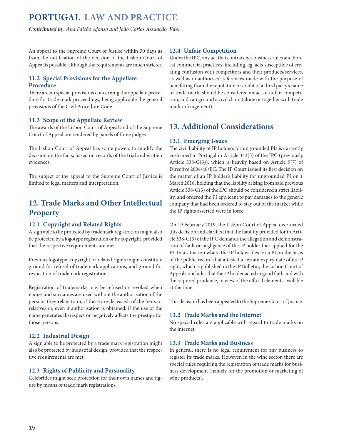<span id="page-14-0"></span>An appeal to the Supreme Court of Justice within 30 days as from the notification of the decision of the Lisbon Court of Appeal is possible, although the requirements are much stricter.

#### **11.2 Special Provisions for the Appellate Procedure**

There are no special provisions concerning the appellate procedure for trade mark proceedings, being applicable the general provisions of the Civil Procedure Code.

#### **11.3 Scope of the Appellate Review**

The awards of the Lisbon Court of Appeal and of the Supreme Court of Appeal are rendered by panels of three judges.

The Lisbon Court of Appeal has some powers to modify the decision on the facts, based on records of the trial and written evidences.

The subject of the appeal to the Supreme Court of Justice is limited to legal matters and interpretation.

# **12. Trade Marks and Other Intellectual Property**

#### **12.1 Copyright and Related Rights**

A sign able to be protected by trademark registration might also be protected by a logotype registration or by copyright, provided that the respective requirements are met.

Previous logotype, copyright or related rights might constitute ground for refusal of trademark applications, and ground for revocation of trademark registrations.

Registration of trademarks may be refused or revoked when names and surnames are used without the authorisation of the persons they relate to or, if these are deceased, of the heirs or relatives or, even if authorisation is obtained, if the use of the name generates disrespect or negatively affects the prestige for those persons.

#### **12.2 Industrial Design**

A sign able to be protected by a trade mark registration might also be protected by industrial design, provided that the respective requirements are met.

#### **12.3 Rights of Publicity and Personality**

Celebrities might seek protection for their own names and figure by means of trade mark registrations.

#### **12.4 Unfair Competition**

Under the IPC, any act that contravenes business rules and honest commercial practices, including, eg, acts susceptible of creating confusion with competitors and their products/services, as well as unauthorised references made with the purpose of benefitting from the reputation or credit of a third party's name or trade mark, should be considered an act of unfair competition, and can ground a civil claim (alone or together with trade mark infringement).

# **13. Additional Considerations**

#### **13.1 Emerging Issues**

The civil liability of IP holders for ungrounded PIs is currently enshrined in Portugal in Article 343(3) of the IPC (previously Article 338-G(3)), which is heavily based on Article 9(7) of Directive 2004/48/EC. The IP Court issued its first decision on the matter of an IP holder's liability for ungrounded PI on 1 March 2018, holding that the liability arising from said previous Article 338-G(3) of the IPC should be considered a strict liability, and ordered the PI applicant to pay damages to the generic company that had been ordered to stay out of the market while the IP rights asserted were in force.

On 19 February 2019, the Lisbon Court of Appeal overturned this decision and clarified that the liability provided for in Article 338-G(3) of the IPC demands the allegation and demonstration of fault or negligence of the IP holder that applied for the PI. In a situation where the IP holder files for a PI on the basis of the public record that attested a certain expiry date of its IP right, which is published in the IP Bulletin, the Lisbon Court of Appeal concludes that the IP holder acted in good faith and with the required prudence, in view of the official elements available at the time.

This decision has been appealed to the Supreme Court of Justice.

#### **13.2 Trade Marks and the Internet**

No special rules are applicable with regard to trade marks on the internet.

#### **13.3 Trade Marks and Business**

In general, there is no legal requirement for any business to register its trade marks. However, in the wine sector, there are special rules requiring the registration of trade marks for business development (namely for the promotion or marketing of wine products).